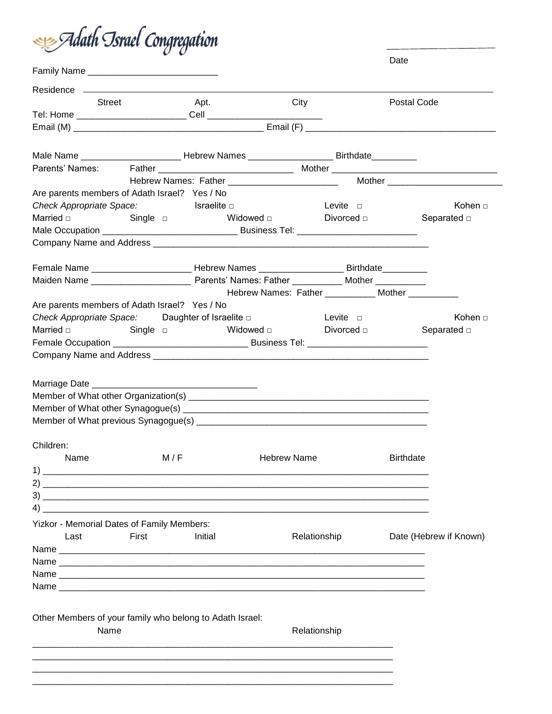

|                                                                                             |          |                                                                                                      |             |                                                   | Date             |                        |  |
|---------------------------------------------------------------------------------------------|----------|------------------------------------------------------------------------------------------------------|-------------|---------------------------------------------------|------------------|------------------------|--|
|                                                                                             |          |                                                                                                      |             |                                                   |                  |                        |  |
|                                                                                             |          |                                                                                                      |             |                                                   |                  |                        |  |
| <b>Street</b>                                                                               |          | Apt.                                                                                                 | City        |                                                   | Postal Code      |                        |  |
|                                                                                             |          |                                                                                                      |             |                                                   |                  |                        |  |
|                                                                                             |          |                                                                                                      |             |                                                   |                  |                        |  |
|                                                                                             |          |                                                                                                      |             |                                                   |                  |                        |  |
|                                                                                             |          | Male Name _______________________________Hebrew Names __________________________Birthdate___________ |             |                                                   |                  |                        |  |
| Parents' Names:                                                                             |          |                                                                                                      |             |                                                   |                  |                        |  |
|                                                                                             |          |                                                                                                      |             |                                                   |                  |                        |  |
| Are parents members of Adath Israel? Yes / No                                               |          |                                                                                                      |             |                                                   |                  |                        |  |
| Check Appropriate Space: Israelite D                                                        |          |                                                                                                      |             | Levite $\square$                                  |                  | Kohen □                |  |
|                                                                                             | Single □ | <b>Widowed</b> □                                                                                     |             | Divorced $\Box$                                   |                  | Separated $\square$    |  |
|                                                                                             |          |                                                                                                      |             |                                                   |                  |                        |  |
|                                                                                             |          |                                                                                                      |             |                                                   |                  |                        |  |
| Female Name _________________________Hebrew Names _____________________Birthdate___________ |          |                                                                                                      |             |                                                   |                  |                        |  |
|                                                                                             |          |                                                                                                      |             |                                                   |                  |                        |  |
|                                                                                             |          |                                                                                                      |             | Hebrew Names: Father ___________ Mother _________ |                  |                        |  |
| Are parents members of Adath Israel? Yes / No                                               |          |                                                                                                      |             |                                                   |                  |                        |  |
| Check Appropriate Space: Daughter of Israelite D                                            |          |                                                                                                      |             | <b>Example 2014</b> Levite 2014                   |                  | Kohen □                |  |
| Married $\square$                                                                           | Single □ |                                                                                                      |             | Widowed $\square$ Divorced $\square$              |                  | Separated $\square$    |  |
|                                                                                             |          |                                                                                                      |             |                                                   |                  |                        |  |
|                                                                                             |          |                                                                                                      |             |                                                   |                  |                        |  |
|                                                                                             |          |                                                                                                      |             |                                                   |                  |                        |  |
| Children:                                                                                   |          |                                                                                                      |             |                                                   |                  |                        |  |
| Name                                                                                        | M/F      |                                                                                                      | Hebrew Name |                                                   | <b>Birthdate</b> |                        |  |
|                                                                                             |          |                                                                                                      |             |                                                   |                  |                        |  |
|                                                                                             |          |                                                                                                      |             |                                                   |                  |                        |  |
|                                                                                             |          |                                                                                                      |             |                                                   |                  |                        |  |
| $\left(4\right)$ $\overline{\phantom{a}}$                                                   |          |                                                                                                      |             |                                                   |                  |                        |  |
| Yizkor - Memorial Dates of Family Members:                                                  |          |                                                                                                      |             |                                                   |                  |                        |  |
| Last                                                                                        | First    | Initial                                                                                              |             | Relationship                                      |                  | Date (Hebrew if Known) |  |
|                                                                                             |          |                                                                                                      |             |                                                   |                  |                        |  |
|                                                                                             |          |                                                                                                      |             |                                                   |                  |                        |  |
|                                                                                             |          |                                                                                                      |             |                                                   |                  |                        |  |
| Name                                                                                        |          |                                                                                                      |             |                                                   |                  |                        |  |
|                                                                                             |          |                                                                                                      |             |                                                   |                  |                        |  |
| Other Members of your family who belong to Adath Israel:                                    |          |                                                                                                      |             |                                                   |                  |                        |  |
| Name                                                                                        |          |                                                                                                      |             | Relationship                                      |                  |                        |  |
|                                                                                             |          |                                                                                                      |             |                                                   |                  |                        |  |
|                                                                                             |          |                                                                                                      |             |                                                   |                  |                        |  |
|                                                                                             |          |                                                                                                      |             |                                                   |                  |                        |  |
|                                                                                             |          |                                                                                                      |             |                                                   |                  |                        |  |